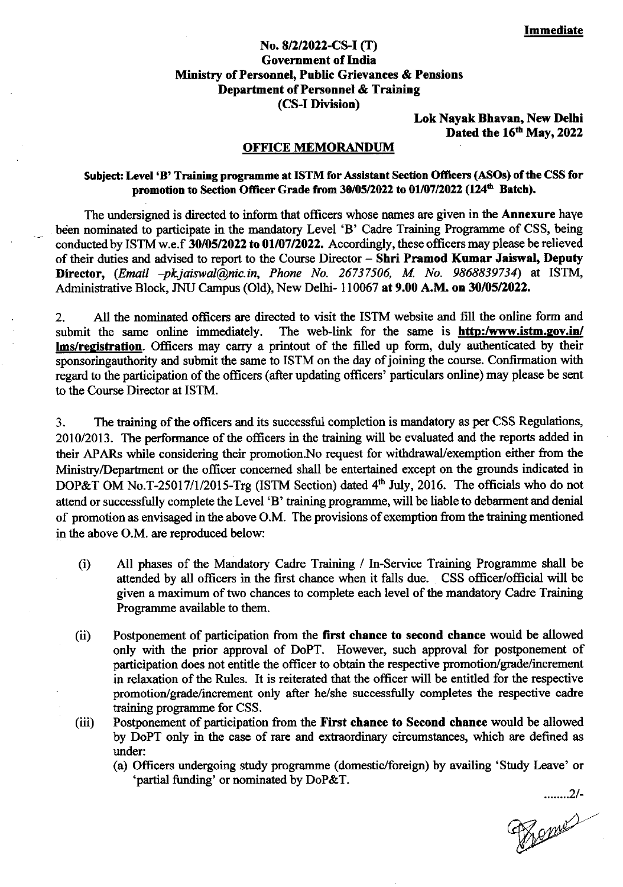## No.8/2/2022-CS-I (I) Goverament of India Ministry of Personnel, Public Grievances & Pensions Department of Personnel & Training (CS-I Division)

Lok Nayak Bhavan, New Delhi Dated the 16th May, 2022

#### OFFICE MEMORANDUM

### Subject: Level 'B' Training programme at ISTM for Assistant Section Officers (ASOs) of the CSS for promotion to Section Officer Grade from 30/05/2022 to 01/07/2022 (124<sup>th</sup> Batch).

The undersigned is directed to inform that officers whose names are given in the **Annexure** haye been nominated to participate in the mandatory Level 'B' Cadre Training Programme of CSS, being conducted by ISTM w.e.f 30/05/2022 to 01/07/2022. Accordingly, these officers may please be relieved of their duties and advised to report to the Course Director - Shri Pramod Kumar Jaiswal, Deputy Director,  $(Email -pkjaiswal@nic.in, Phone No. 26737506, M. No. 9868839734)$  at ISTM, Administrative Block, JNU Campus (Old), New Delhi- 110067 at 9.00 A.M. on 30/05/2022.

2. All the nominated officers are directed to visit the ISTM website and fill the online form and submit the same online immediately. The web-link for the same is **http:/www.istm.gov.in/** The web-link for the same is **http:/www.istm.gov.in/** lms/registration. Officers may carry a printout of the filled up form, duly authenticated by their sponsoringauthority and submit the same to ISTM on the day of joining the course. Confirmation with regard to the participation of the officers (after updating officers' particulars online) may please be sent to the Course Director at ISTM.

3. The training of the officers and its successful completion is mandatory as per CSS Regulations, 2010/2013. The performance of the officers in the training will be evaluated and the reports added in their APARs while considering their promotion. No request for withdrawal/exemption either from the Ministry/Departrnent or the officer concemed shall be entertained except on the grounds indicated in DOP&T OM No.T-25017/1/2015-Trg (ISTM Section) dated  $4<sup>th</sup>$  July, 2016. The officials who do not attend or successfully complete the Level 'B' training programme, will be liable to debarment and denial of promotion as envisaged in the above O.M. The provisions of exemption from the training mentioned in the above O.M. are reproduced below:

- (i) All phases of the Mandatory Cadre Training / In-Service Training Programme shall be attended by all officers in the first chance when it falls due. CSS officer/official will be given a maximum of two chances to complete each level of the mandatory Cadre Training Programme available to them.
- (ii) Postponement of participation from the first chance to second chance would be allowed only with the prior approval of DoPT. However, such approval for postponement of participation does not entitle the officer to obtain the respective promotion/grade/increment in relaxation of the Rules. It is reiterated that the officer will be entitled for the respective promotion/grade/increment only after he/she successfully completes the respective cadre training programme for CSS.
- (iii) Postponement of participation from the First chance to Second chance would be allowed by DoPT only in the case of rare and extraordinary circumstances, which are defined as under:
	- (a) Officers undergoing study programme (domestic/foreign) by availing'Study Leave' or 'partial funding' or nominated by DoP&T.

........21-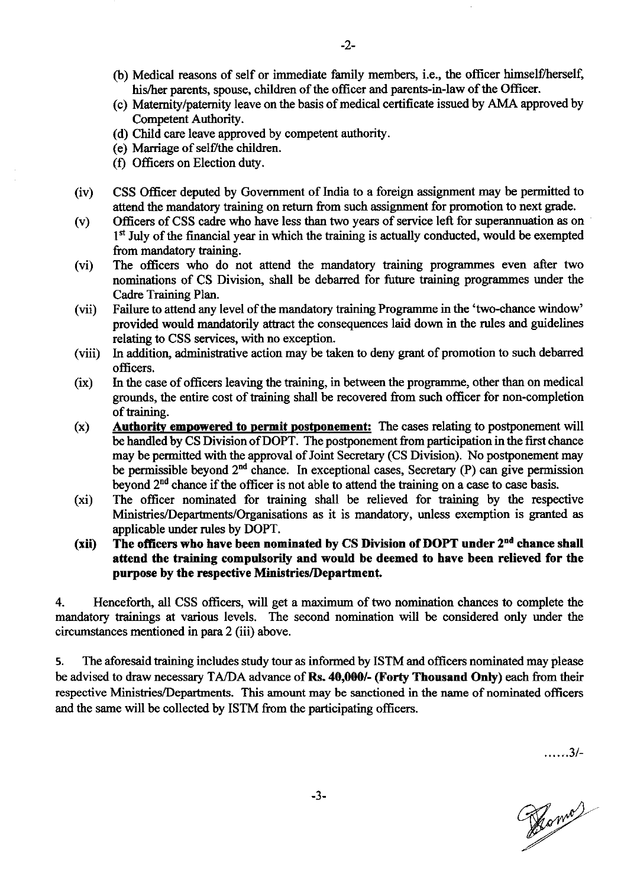- (b) Medical reasons of self or immediate family members, i.e., the officer himself/herself, his/her parents, spouse, children of the officer and parents-in-law of the Officer.
- (c) Matemity/patemity leave on the basis of medical certificate issued by AMA approved by Competent Authority.
- (d) Child care leave approved by competent authority.
- (e) Marriage of self/the children.
- (f) Offrcers on Election duty.
- (iv) CSS Officer deputed by Govemment of India to a foreign assignment may be permitted to attend the mandatory training on retum from such assignment for promotion to next grade.
- (v) Officers of CSS cadre who have less than two years of service left for superannuation as on  $1<sup>st</sup>$  July of the financial year in which the training is actually conducted, would be exempted from mandatory training.
- (vi) The officers who do not attend the mandatory training programmes even after two nominations of CS Division, shall be debarred for future training programmes under the Cadrc Training Plan.
- $(vii)$ Failure to attend any level of the mandatory training Programme in the 'two-chance window' provided would mandatorily attract the consequenoes laid down in the rules and guidelines relating to CSS services, with no exception.
- (viii) In addition, administrative action may be taken to deny grant of promotion to such debarred officers.
- (ix) In the case of officers leaving the training, in between the programme, other than on medical grounds, the entire cost of training shall be recovered fiom such officer for non-completion of training.
- (x) Authority empowered to permit postponement: The cases relating to postponement will be handled by CS Division of DOPT. The postponement from participation in the first chance may be permitted with the approval of Joint Secretary (CS Division). No postponement may be permissible beyond  $2^{nd}$  chance. In exceptional cases, Secretary (P) can give permission beyond  $2<sup>nd</sup>$  chance if the officer is not able to attend the training on a case to case basis.
- (xi) The officer nominated for training shall be relieved for training by the respective Ministries/Departments/Organisations as it is mandatory, unless exemption is granted as applicable under rules by DOPT.
- The officers who have been nominated by CS Division of DOPT under  $2<sup>nd</sup>$  chance shall attend the training compulsorily and would be deemed to have been relieved for the purpose by the respective Ministries/Department  $(xii)$

4. Henceforth, all CSS officers, will get a maximum of two nomination chances to complete the mandatory trainings at various levels. The second nomination will be considered only under the circumstances mentioned in para 2 (iii) above.

5. The aforesaid training includes study tour as informed by ISTM and officers nominated may please be advised to draw necessary TA/DA advance of Rs. 40,000/- (Forty Thousand Only) each from their respective Ministries/Departments. This amount may be sanctioned in the name of nominated officers and the same will be collected by ISTM from the participating officers.

-J-

......3/-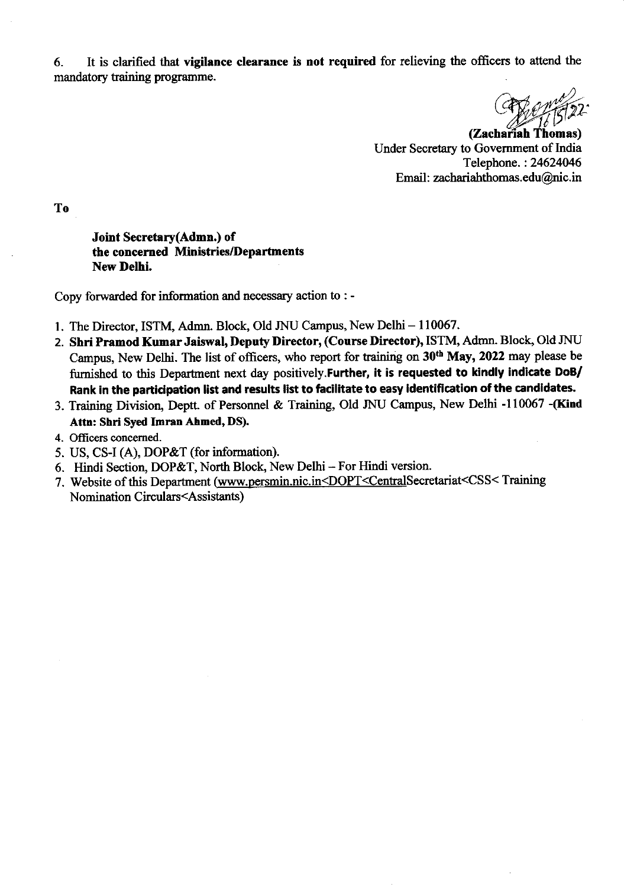6. It is clarified that vigilance clearance is not required for relieving the officers to attend the mandatory taining programme.

 $\frac{2}{2}$ 

(Zacharíah Thomas) Under Secretary to Govemment of India Telephone. :24624046 Email: zachariahthomas.edu@nic.in

To

Joint Secretary(Admn.) of the concemed Ministries/Deprrtments New Delhi.

Copy forwarded for information and necessary action to : -

- 1. The Director, ISTM, Admn. Block, Old JNU Campus, New Delhi 110067.
- 2. Shri Pramod Kumar Jaiswal, Deputy Director, (Course Director), ISTM, Admn. Block, Old JNU Campus, New Delhi. The list of officers, who report for training on 30th May, 2022 may please be furnished to this Department next day positively. Further, it is requested to kindly indicate DoB/ Rank in the participation list and results list to facilitate to easy identification of the candidates.
- 3. Training Division, Deptt. of Personnel & Training, Old JNU Campus, New Delhi -110067 -(Kind Attn: Shri Syed Imran Ahmed, DS).
- 4. Officers concemed.
- 5. US, CS-I (A), DOP&T (for information).
- 6. Hindi Section, DOP&T, North Block, New Delhi For Hindi version.
- 7. Website of this Department (www.persmin.nic.in<DOPT<CentralSecretariat<CSS<Training Nomination Circulars<Assistants)